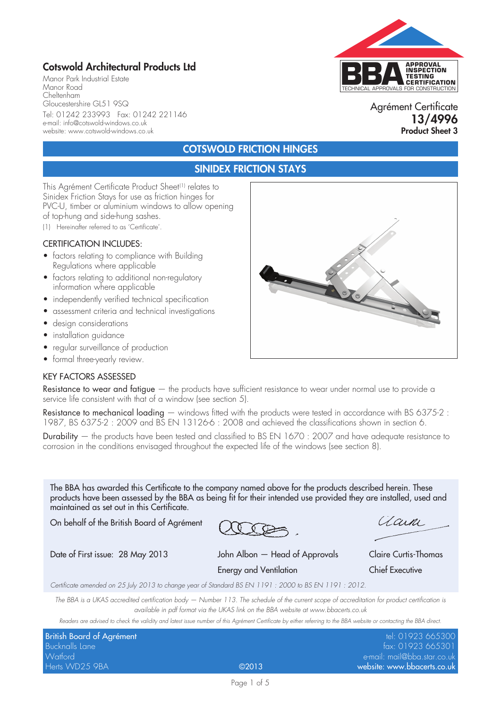# Cotswold Architectural Products Ltd

Manor Park Industrial Estate Manor Road Cheltenham Gloucestershire GL51 9SQ Tel: 01242 233993 Fax: 01242 221146 e-mail: info@cotswold-windows.co.uk website: www.cotswold-windows.co.uk



### Agrément Certificate 13/4996 Product Sheet 3

# COTSWOLD FRICTION HINGES

# SINIDEX FRICTION STAYS

This Agrément Certificate Product Sheet<sup>(1)</sup> relates to Sinidex Friction Stays for use as friction hinges for PVC-U, timber or aluminium windows to allow opening of top-hung and side-hung sashes.

(1) Hereinafter referred to as 'Certificate'.

#### CERTIFICATION INCLUDES:

- factors relating to compliance with Building Regulations where applicable
- factors relating to additional non-regulatory information where applicable
- independently verified technical specification
- assessment criteria and technical investigations
- design considerations
- installation guidance
- regular surveillance of production
- formal three-yearly review.

#### KEY FACTORS ASSESSED

Resistance to wear and fatigue — the products have sufficient resistance to wear under normal use to provide a service life consistent with that of a window (see section 5).

**Resistance to mechanical loading** — windows fitted with the products were tested in accordance with BS 6375-2 : 1987, BS 6375-2 : 2009 and BS EN 13126-6 : 2008 and achieved the classifications shown in section 6.

Durability — the products have been tested and classified to BS EN 1670 : 2007 and have adequate resistance to corrosion in the conditions envisaged throughout the expected life of the windows (see section 8).

The BBA has awarded this Certificate to the company named above for the products described herein. These products have been assessed by the BBA as being fit for their intended use provided they are installed, used and maintained as set out in this Certificate.

On behalf of the British Board of Agrément

Date of First issue: 28 May 2013 John Albon — Head of Approvals Claire Curtis-Thomas Energy and Ventilation Chief Executive

(Laine)

*Certificate amended on 25 July 2013 to change year of Standard BS EN 1191 : 2000 to BS EN 1191 : 2012.*

*The BBA is a UKAS accredited certification body — Number 113. The schedule of the current scope of accreditation for product certification is available in pdf format via the UKAS link on the BBA website at www.bbacerts.co.uk*

*Readers are advised to check the validity and latest issue number of this Agrément Certificate by either referring to the BBA website or contacting the BBA direct.*

| British Board of Agrément |       | tel: 01923 665300           |
|---------------------------|-------|-----------------------------|
| Bucknalls Lane            |       | fax: 01923 665301           |
| Watford                   |       | e-mail: mail@bba.star.co.uk |
| Herts WD25 9BA            | ©2013 | website: www.bbacerts.co.uk |



Page 1 of 5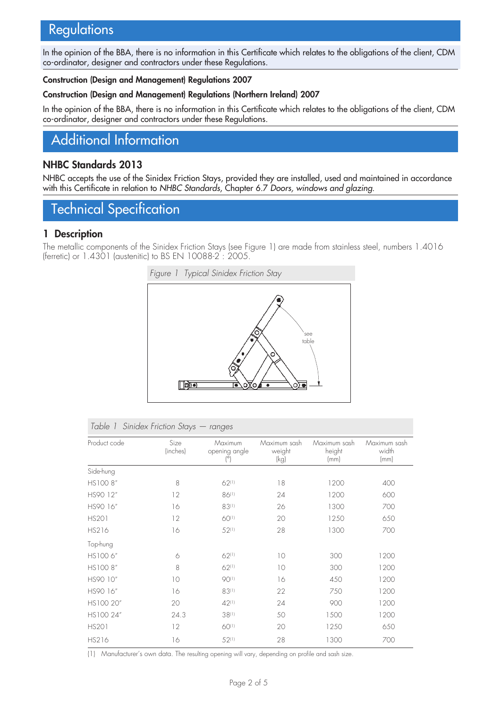# **Regulations**

In the opinion of the BBA, there is no information in this Certificate which relates to the obligations of the client, CDM co-ordinator, designer and contractors under these Regulations.

#### Construction (Design and Management) Regulations 2007

#### Construction (Design and Management) Regulations (Northern Ireland) 2007

In the opinion of the BBA, there is no information in this Certificate which relates to the obligations of the client, CDM co-ordinator, designer and contractors under these Regulations.

# Additional Information

## NHBC Standards 2013

NHBC accepts the use of the Sinidex Friction Stays, provided they are installed, used and maintained in accordance with this Certificate in relation to *NHBC Standards*, Chapter 6.7 *Doors, windows and glazing*.

# Technical Specification

### 1 Description

The metallic components of the Sinidex Friction Stays (see Figure 1) are made from stainless steel, numbers 1.4016 (ferretic) or 1.4301 (austenitic) to BS EN 10088-2 : 2005.



| Table 1 Sinidex Friction Stays — ranges |  |
|-----------------------------------------|--|
|-----------------------------------------|--|

| Product code | Size<br>(inches) | Maximum<br>opening angle<br>$(^\circ)$ | Maximum sash<br>weight<br>(kg) | Maximum sash<br>height<br>(mm) | Maximum sash<br>width<br>(mm) |
|--------------|------------------|----------------------------------------|--------------------------------|--------------------------------|-------------------------------|
| Side-hung    |                  |                                        |                                |                                |                               |
| HS1008"      | 8                | 62(1)                                  | 18                             | 1200                           | 400                           |
| HS90 12"     | 12               | 86(1)                                  | 24                             | 1200                           | 600                           |
| HS90 16"     | 16               | 83(1)                                  | 26                             | 1300                           | 700                           |
| <b>HS201</b> | 12               | 60(1)                                  | 20                             | 1250                           | 650                           |
| <b>HS216</b> | 16               | $52^{(1)}$                             | 28                             | 1300                           | 700                           |
| Top-hung     |                  |                                        |                                |                                |                               |
| HS1006"      | 6                | 62(1)                                  | 10                             | 300                            | 1200                          |
| HS1008"      | 8                | 62(1)                                  | 10                             | 300                            | 1200                          |
| HS90 10"     | 10               | 90(1)                                  | 16                             | 450                            | 1200                          |
| HS90 16"     | 16               | 83(1)                                  | 22                             | 750                            | 1200                          |
| HS100 20"    | 20               | 42(1)                                  | 24                             | 900                            | 1200                          |
| HS100 24"    | 24.3             | 38(1)                                  | 50                             | 1500                           | 1200                          |
| <b>HS201</b> | 12               | 60(1)                                  | 20                             | 1250                           | 650                           |
| <b>HS216</b> | 16               | 52(1)                                  | 28                             | 1300                           | 700                           |

(1) Manufacturer's own data. The resulting opening will vary, depending on profile and sash size.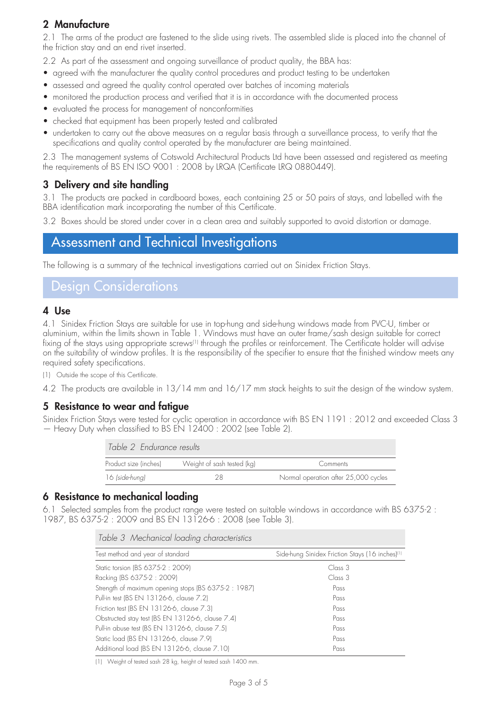# 2 Manufacture

2.1 The arms of the product are fastened to the slide using rivets. The assembled slide is placed into the channel of the friction stay and an end rivet inserted.

2.2 As part of the assessment and ongoing surveillance of product quality, the BBA has:

- agreed with the manufacturer the quality control procedures and product testing to be undertaken
- assessed and agreed the quality control operated over batches of incoming materials
- monitored the production process and verified that it is in accordance with the documented process
- evaluated the process for management of nonconformities
- checked that equipment has been properly tested and calibrated
- undertaken to carry out the above measures on a regular basis through a surveillance process, to verify that the specifications and quality control operated by the manufacturer are being maintained.

2.3 The management systems of Cotswold Architectural Products Ltd have been assessed and registered as meeting the requirements of BS EN ISO 9001 : 2008 by LRQA (Certificate LRQ 0880449).

## 3 Delivery and site handling

3.1 The products are packed in cardboard boxes, each containing 25 or 50 pairs of stays, and labelled with the BBA identification mark incorporating the number of this Certificate.

3.2 Boxes should be stored under cover in a clean area and suitably supported to avoid distortion or damage.

# Assessment and Technical Investigations

The following is a summary of the technical investigations carried out on Sinidex Friction Stays.

# Design Considerations

#### 4 Use

4.1 Sinidex Friction Stays are suitable for use in top-hung and side-hung windows made from PVC-U, timber or aluminium, within the limits shown in Table 1. Windows must have an outer frame/sash design suitable for correct fixing of the stays using appropriate screws<sup>(1)</sup> through the profiles or reinforcement. The Certificate holder will advise on the suitability of window profiles. It is the responsibility of the specifier to ensure that the finished window meets any required safety specifications.

(1) Outside the scope of this Certificate.

4.2 The products are available in 13/14 mm and 16/17 mm stack heights to suit the design of the window system.

## 5 Resistance to wear and fatigue

Sinidex Friction Stays were tested for cyclic operation in accordance with BS EN 1191 : 2012 and exceeded Class 3 — Heavy Duty when classified to BS EN 12400 : 2002 (see Table 2).

| Table 2 Endurance results |                            |                                      |  |
|---------------------------|----------------------------|--------------------------------------|--|
| Product size (inches)     | Weight of sash tested (kg) | Comments                             |  |
| 16 (side-hung)            |                            | Normal operation after 25,000 cycles |  |

### 6 Resistance to mechanical loading

6.1 Selected samples from the product range were tested on suitable windows in accordance with BS 6375-2 : 1987, BS 6375-2 : 2009 and BS EN 13126-6 : 2008 (see Table 3).

| Table 3 Mechanical loading characteristics           |                                                             |  |  |
|------------------------------------------------------|-------------------------------------------------------------|--|--|
| Test method and year of standard                     | Side-hung Sinidex Friction Stays (16 inches) <sup>(1)</sup> |  |  |
| Static torsion (BS 6375-2 : 2009)                    | Class 3                                                     |  |  |
| Racking (BS 6375-2: 2009)                            | Class 3                                                     |  |  |
| Strength of maximum opening stops (BS 6375-2 : 1987) | Pass                                                        |  |  |
| Pull-in test (BS EN 13126-6, clause 7.2)             | Pass                                                        |  |  |
| Friction test (BS EN 13126-6, clause 7.3)            | Pass                                                        |  |  |
| Obstructed stay test (BS EN 13126-6, clause 7.4)     | Pass                                                        |  |  |
| Pull-in abuse test (BS EN 13126-6, clause 7.5)       | Pass                                                        |  |  |
| Static load (BS EN 13126-6, clause 7.9)              | Pass                                                        |  |  |
| Additional load (BS EN 13126-6, clause 7.10)         | Pass                                                        |  |  |

(1) Weight of tested sash 28 kg, height of tested sash 1400 mm.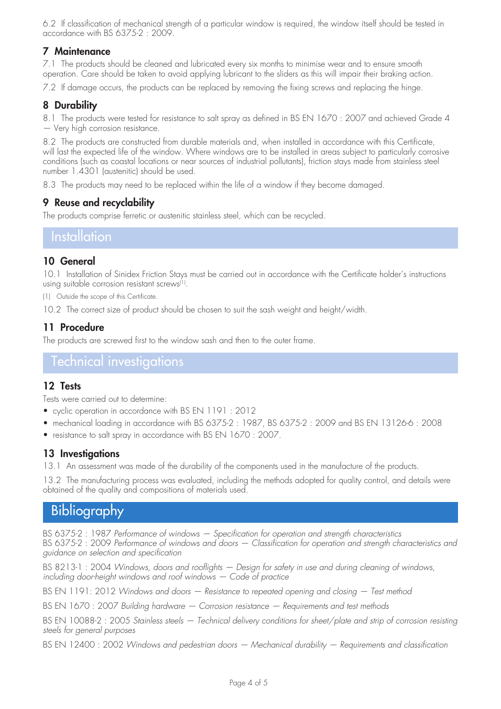6.2 If classification of mechanical strength of a particular window is required, the window itself should be tested in accordance with BS 6375-2 : 2009.

## 7 Maintenance

7.1 The products should be cleaned and lubricated every six months to minimise wear and to ensure smooth operation. Care should be taken to avoid applying lubricant to the sliders as this will impair their braking action.

7.2 If damage occurs, the products can be replaced by removing the fixing screws and replacing the hinge.

## 8 Durability

8.1 The products were tested for resistance to salt spray as defined in BS EN 1670 : 2007 and achieved Grade 4 — Very high corrosion resistance.

8.2 The products are constructed from durable materials and, when installed in accordance with this Certificate, will last the expected life of the window. Where windows are to be installed in areas subject to particularly corrosive conditions (such as coastal locations or near sources of industrial pollutants), friction stays made from stainless steel number 1.4301 (austenitic) should be used.

8.3 The products may need to be replaced within the life of a window if they become damaged.

# 9 Reuse and recyclability

The products comprise ferretic or austenitic stainless steel, which can be recycled.

## **Installation**

## 10 General

10.1 Installation of Sinidex Friction Stays must be carried out in accordance with the Certificate holder's instructions using suitable corrosion resistant screws<sup>(1)</sup>.

(1) Outside the scope of this Certificate.

10.2 The correct size of product should be chosen to suit the sash weight and height/width.

## 11 Procedure

The products are screwed first to the window sash and then to the outer frame.

# Technical investigations

### 12 Tests

Tests were carried out to determine:

- cyclic operation in accordance with BS EN 1191 : 2012
- mechanical loading in accordance with BS 6375-2 : 1987, BS 6375-2 : 2009 and BS EN 13126-6 : 2008
- resistance to salt spray in accordance with BS EN 1670 : 2007.

### 13 Investigations

13.1 An assessment was made of the durability of the components used in the manufacture of the products.

13.2 The manufacturing process was evaluated, including the methods adopted for quality control, and details were obtained of the quality and compositions of materials used.

# **Bibliography**

BS 6375-2 : 1987 *Performance of windows — Specification for operation and strength characteristics* BS 6375-2 : 2009 *Performance of windows and doors — Classification for operation and strength characteristics and guidance on selection and specification*

BS 8213-1: 2004 *Windows, doors and rooflights – Design for safety in use and during cleaning of windows, including door-height windows and roof windows — Code of practice*

BS EN 1191: 2012 *Windows and doors — Resistance to repeated opening and closing — Test method* 

BS EN 1670 : 2007 *Building hardware — Corrosion resistance — Requirements and test methods*

BS EN 10088-2 : 2005 *Stainless steels — Technical delivery conditions for sheet/plate and strip of corrosion resisting steels for general purposes*

BS EN 12400 : 2002 *Windows and pedestrian doors — Mechanical durability — Requirements and classification*